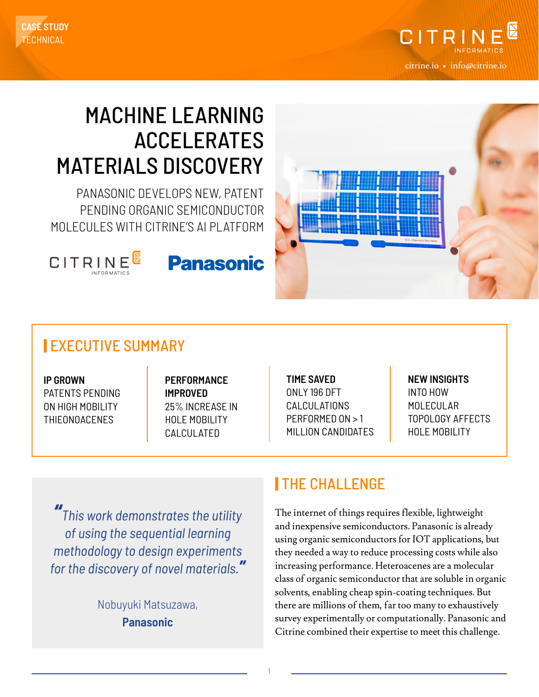



# MACHINE LEARNING ACCELERATES MATERIALS DISCOVERY

PANASONIC DEVELOPS NEW, PATENT PENDING ORGANIC SEMICONDUCTOR MOLECULES WITH CITRINE'S AI PLATFORM







#### | EXECUTIVE SUMMARY

**IP GROWN** PATENTS PENDING ON HIGH MOBILITY THIEONOACENES

**PERFORMANCE IMPROVED** 25% INCREASE IN HOLE MOBILITY CALCULATED

**TIME SAVED** ONLY 196 DFT CALCULATIONS PERFORMED ON > 1 MILLION CANDIDATES **NEW INSIGHTS** INTO HOW MOLECULAR TOPOLOGY AFFECTS HOLE MOBILITY

*" This work demonstrates the utility of using the sequential learning methodology to design experiments for the discovery of novel materials."*

> Nobuyuki Matsuzawa, **Panasonic**

#### | THE CHALLENGE

The internet of things requires flexible, lightweight and inexpensive semiconductors. Panasonic is already using organic semiconductors for IOT applications, but they needed a way to reduce processing costs while also increasing performance. Heteroacenes are a molecular class of organic semiconductor that are soluble in organic solvents, enabling cheap spin-coating techniques. But there are millions of them, far too many to exhaustively survey experimentally or computationally. Panasonic and Citrine combined their expertise to meet this challenge.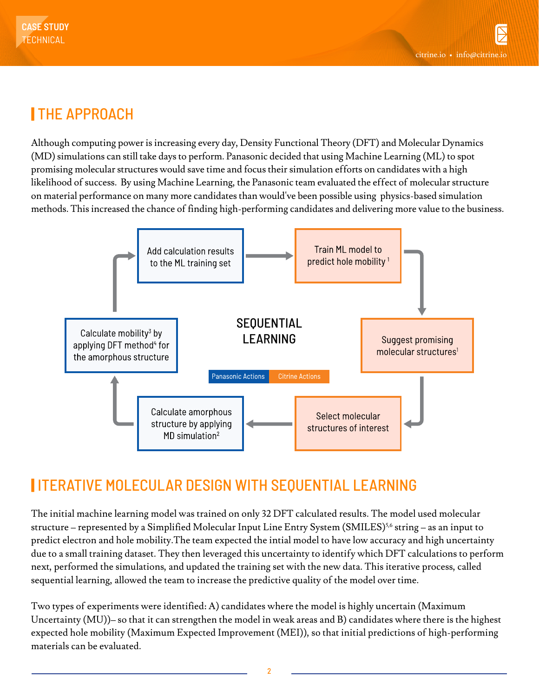## | THE APPROACH

Although computing power is increasing every day, Density Functional Theory (DFT) and Molecular Dynamics (MD) simulations can still take days to perform. Panasonic decided that using Machine Learning (ML) to spot promising molecular structures would save time and focus their simulation efforts on candidates with a high likelihood of success. By using Machine Learning, the Panasonic team evaluated the effect of molecular structure on material performance on many more candidates than would've been possible using physics-based simulation methods. This increased the chance of finding high-performing candidates and delivering more value to the business.



### | ITERATIVE MOLECULAR DESIGN WITH SEQUENTIAL LEARNING

The initial machine learning model was trained on only 32 DFT calculated results. The model used molecular structure – represented by a Simplified Molecular Input Line Entry System (SMILES)<sup>5,6</sup> string – as an input to predict electron and hole mobility.The team expected the intial model to have low accuracy and high uncertainty due to a small training dataset. They then leveraged this uncertainty to identify which DFT calculations to perform next, performed the simulations, and updated the training set with the new data. This iterative process, called sequential learning, allowed the team to increase the predictive quality of the model over time.

Two types of experiments were identified: A) candidates where the model is highly uncertain (Maximum Uncertainty (MU))– so that it can strengthen the model in weak areas and B) candidates where there is the highest expected hole mobility (Maximum Expected Improvement (MEI)), so that initial predictions of high-performing materials can be evaluated.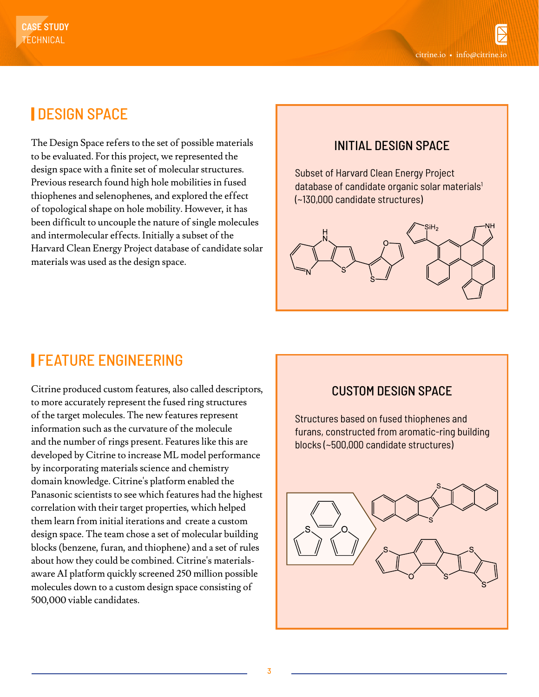## | DESIGN SPACE

The Design Space refers to the set of possible materials to be evaluated. For this project, we represented the design space with a finite set of molecular structures. Previous research found high hole mobilities in fused thiophenes and selenophenes, and explored the effect of topological shape on hole mobility. However, it has been difficult to uncouple the nature of single molecules and intermolecular effects. Initially a subset of the Harvard Clean Energy Project database of candidate solar materials was used as the design space.

#### INITIAL DESIGN SPACE

Subset of Harvard Clean Energy Project database of candidate organic solar materials<sup>1</sup> (~130,000 candidate structures)



### | FEATURE ENGINEERING

Citrine produced custom features, also called descriptors, to more accurately represent the fused ring structures of the target molecules. The new features represent information such as the curvature of the molecule and the number of rings present. Features like this are developed by Citrine to increase ML model performance by incorporating materials science and chemistry domain knowledge. Citrine's platform enabled the Panasonic scientists to see which features had the highest correlation with their target properties, which helped them learn from initial iterations and create a custom design space. The team chose a set of molecular building blocks (benzene, furan, and thiophene) and a set of rules about how they could be combined. Citrine's materialsaware AI platform quickly screened 250 million possible molecules down to a custom design space consisting of 500,000 viable candidates.

#### CUSTOM DESIGN SPACE

Structures based on fused thiophenes and furans, constructed from aromatic-ring building blocks (~500,000 candidate structures)

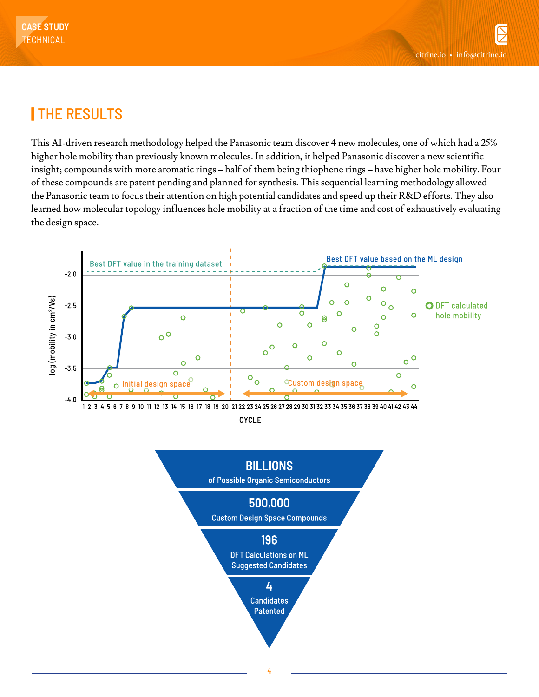## | THE RESULTS

This AI-driven research methodology helped the Panasonic team discover 4 new molecules, one of which had a 25% higher hole mobility than previously known molecules. In addition, it helped Panasonic discover a new scientific insight; compounds with more aromatic rings – half of them being thiophene rings – have higher hole mobility. Four of these compounds are patent pending and planned for synthesis. This sequential learning methodology allowed the Panasonic team to focus their attention on high potential candidates and speed up their R&D efforts. They also learned how molecular topology influences hole mobility at a fraction of the time and cost of exhaustively evaluating the design space.



**CYCLE**